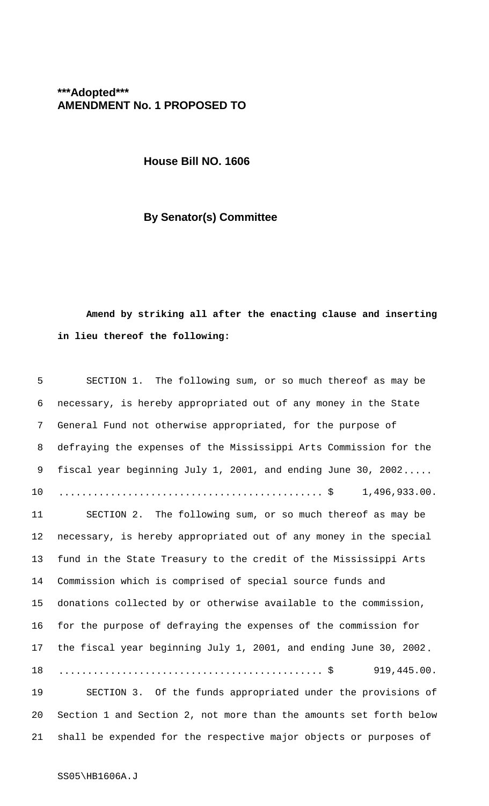## **\*\*\*Adopted\*\*\* AMENDMENT No. 1 PROPOSED TO**

**House Bill NO. 1606**

## **By Senator(s) Committee**

## **Amend by striking all after the enacting clause and inserting in lieu thereof the following:**

| 5  | SECTION 1. The following sum, or so much thereof as may be         |
|----|--------------------------------------------------------------------|
| 6  | necessary, is hereby appropriated out of any money in the State    |
| 7  | General Fund not otherwise appropriated, for the purpose of        |
| 8  | defraying the expenses of the Mississippi Arts Commission for the  |
| 9  | fiscal year beginning July 1, 2001, and ending June 30, 2002       |
| 10 |                                                                    |
| 11 | SECTION 2. The following sum, or so much thereof as may be         |
| 12 | necessary, is hereby appropriated out of any money in the special  |
| 13 | fund in the State Treasury to the credit of the Mississippi Arts   |
| 14 | Commission which is comprised of special source funds and          |
| 15 | donations collected by or otherwise available to the commission,   |
| 16 | for the purpose of defraying the expenses of the commission for    |
| 17 | the fiscal year beginning July 1, 2001, and ending June 30, 2002.  |
| 18 | 919,445.00.                                                        |
| 19 | SECTION 3. Of the funds appropriated under the provisions of       |
| 20 | Section 1 and Section 2, not more than the amounts set forth below |
| 21 | shall be expended for the respective major objects or purposes of  |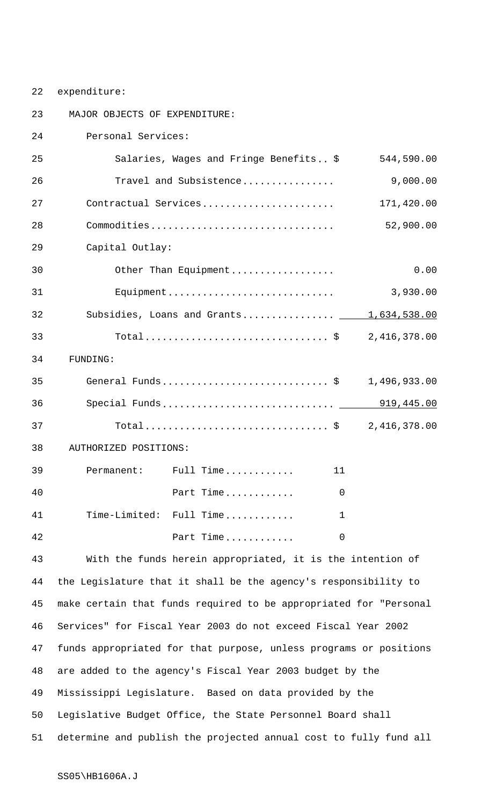22 expenditure:

23 MAJOR OBJECTS OF EXPENDITURE: 24 Personal Services: 25 Salaries, Wages and Fringe Benefits.. \$ 544,590.00 26 Travel and Subsistence................ 9,000.00 27 Contractual Services....................... 171,420.00 28 Commodities................................ 52,900.00 29 Capital Outlay: 30 Other Than Equipment.................. 0.00 31 Equipment............................. 3,930.00 32 Subsidies, Loans and Grants................. 1,634,538.00 33 Total...................................\$ 2,416,378.00 34 FUNDING: 35 General Funds............................. \$ 1,496,933.00 36 Special Funds.............................. 919,445.00 37 Total...................................\$ 2,416,378.00 38 AUTHORIZED POSITIONS: 39 Permanent: Full Time............ 11 40 Part Time............ 0 41 Time-Limited: Full Time............ 1 42 Part Time............ 0

 With the funds herein appropriated, it is the intention of the Legislature that it shall be the agency's responsibility to make certain that funds required to be appropriated for "Personal Services" for Fiscal Year 2003 do not exceed Fiscal Year 2002 funds appropriated for that purpose, unless programs or positions are added to the agency's Fiscal Year 2003 budget by the Mississippi Legislature. Based on data provided by the Legislative Budget Office, the State Personnel Board shall determine and publish the projected annual cost to fully fund all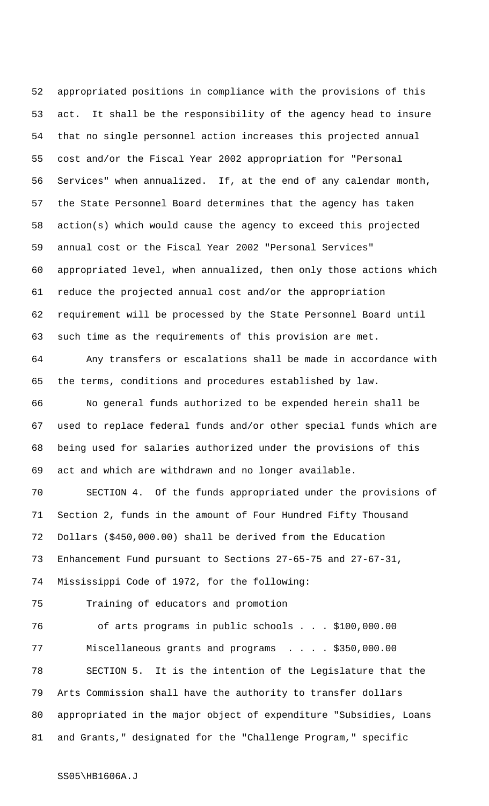appropriated positions in compliance with the provisions of this act. It shall be the responsibility of the agency head to insure that no single personnel action increases this projected annual cost and/or the Fiscal Year 2002 appropriation for "Personal Services" when annualized. If, at the end of any calendar month, the State Personnel Board determines that the agency has taken action(s) which would cause the agency to exceed this projected annual cost or the Fiscal Year 2002 "Personal Services" appropriated level, when annualized, then only those actions which reduce the projected annual cost and/or the appropriation requirement will be processed by the State Personnel Board until such time as the requirements of this provision are met.

 Any transfers or escalations shall be made in accordance with the terms, conditions and procedures established by law.

 No general funds authorized to be expended herein shall be used to replace federal funds and/or other special funds which are being used for salaries authorized under the provisions of this act and which are withdrawn and no longer available.

 SECTION 4. Of the funds appropriated under the provisions of Section 2, funds in the amount of Four Hundred Fifty Thousand Dollars (\$450,000.00) shall be derived from the Education Enhancement Fund pursuant to Sections 27-65-75 and 27-67-31, Mississippi Code of 1972, for the following:

Training of educators and promotion

76 of arts programs in public schools . . . \$100,000.00 77 Miscellaneous grants and programs . . . . \$350,000.00 SECTION 5. It is the intention of the Legislature that the Arts Commission shall have the authority to transfer dollars appropriated in the major object of expenditure "Subsidies, Loans and Grants," designated for the "Challenge Program," specific

SS05\HB1606A.J